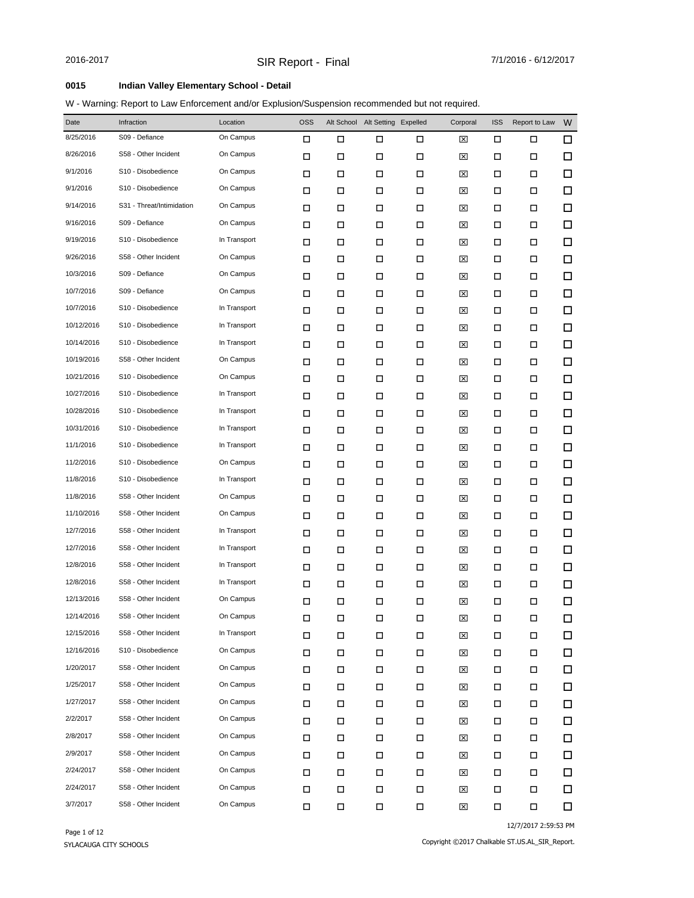### **0015 Indian Valley Elementary School - Detail**

W - Warning: Report to Law Enforcement and/or Explusion/Suspension recommended but not required.

| Date       | Infraction                | Location     | <b>OSS</b> |   | Alt School Alt Setting Expelled |        | Corporal | <b>ISS</b> | Report to Law | W      |
|------------|---------------------------|--------------|------------|---|---------------------------------|--------|----------|------------|---------------|--------|
| 8/25/2016  | S09 - Defiance            | On Campus    | □          | □ | П                               | □      | ⊠        | □          | □             | $\Box$ |
| 8/26/2016  | S58 - Other Incident      | On Campus    | □          | □ | □                               | П      | ⊠        | □          | $\Box$        | $\Box$ |
| 9/1/2016   | S10 - Disobedience        | On Campus    | □          | □ | □                               | □      | ⊠        | □          | □             | $\Box$ |
| 9/1/2016   | S10 - Disobedience        | On Campus    | □          | □ | □                               | □      | ⊠        | □          | □             | $\Box$ |
| 9/14/2016  | S31 - Threat/Intimidation | On Campus    | □          | □ | □                               | □      | ⊠        | □          | □             | $\Box$ |
| 9/16/2016  | S09 - Defiance            | On Campus    | □          | □ | □                               | □      | ⊠        | □          | □             | $\Box$ |
| 9/19/2016  | S10 - Disobedience        | In Transport | □          | □ | □                               | □      | ⊠        | □          | □             | $\Box$ |
| 9/26/2016  | S58 - Other Incident      | On Campus    | □          | □ | □                               | □      | ⊠        | □          | □             | $\Box$ |
| 10/3/2016  | S09 - Defiance            | On Campus    | □          | □ | □                               | □      | ⊠        | □          | □             | $\Box$ |
| 10/7/2016  | S09 - Defiance            | On Campus    | □          | □ | □                               | □      | ⊠        | □          | □             | $\Box$ |
| 10/7/2016  | S10 - Disobedience        | In Transport | □          | □ | □                               | □      | ⊠        | □          | □             | $\Box$ |
| 10/12/2016 | S10 - Disobedience        | In Transport | □          | □ | □                               | □      | ⊠        | □          | □             | $\Box$ |
| 10/14/2016 | S10 - Disobedience        | In Transport | □          | □ | □                               | □      | ⊠        | □          | □             | $\Box$ |
| 10/19/2016 | S58 - Other Incident      | On Campus    | □          | □ | □                               | □      | ⊠        | □          | □             | $\Box$ |
| 10/21/2016 | S10 - Disobedience        | On Campus    | □          | □ | □                               | □      | ⊠        | □          | □             | $\Box$ |
| 10/27/2016 | S10 - Disobedience        | In Transport | □          | □ | □                               | □      | ⊠        | □          | □             | $\Box$ |
| 10/28/2016 | S10 - Disobedience        | In Transport | □          | □ | □                               | □      | ⊠        | □          | □             | $\Box$ |
| 10/31/2016 | S10 - Disobedience        | In Transport | □          | □ | □                               | □      | ⊠        | □          | □             | $\Box$ |
| 11/1/2016  | S10 - Disobedience        | In Transport | □          | □ | □                               | □      | ⊠        | □          | □             | $\Box$ |
| 11/2/2016  | S10 - Disobedience        | On Campus    | □          | □ | □                               | □      | ⊠        | □          | □             | $\Box$ |
| 11/8/2016  | S10 - Disobedience        | In Transport | □          | □ | □                               | □      | ⊠        | □          | □             | $\Box$ |
| 11/8/2016  | S58 - Other Incident      | On Campus    | □          | □ | □                               | □      | ⊠        | □          | □             | $\Box$ |
| 11/10/2016 | S58 - Other Incident      | On Campus    | □          | □ | □                               | □      | ⊠        | □          | □             | $\Box$ |
| 12/7/2016  | S58 - Other Incident      | In Transport | □          | □ | □                               | □      | ⊠        | □          | □             | $\Box$ |
| 12/7/2016  | S58 - Other Incident      | In Transport | □          | □ | □                               | □      | ⊠        | □          | □             | $\Box$ |
| 12/8/2016  | S58 - Other Incident      | In Transport | □          | □ | □                               | □      | ⊠        | □          | □             | $\Box$ |
| 12/8/2016  | S58 - Other Incident      | In Transport | □          | □ | □                               | □      | ⊠        | □          | □             | $\Box$ |
| 12/13/2016 | S58 - Other Incident      | On Campus    | □          | □ | □                               | □      | 区        | □          | □             | $\Box$ |
| 12/14/2016 | S58 - Other Incident      | On Campus    | $\Box$     | Д | $\Box$                          | $\Box$ | 図        | $\Box$     | $\Box$        | $\Box$ |
| 12/15/2016 | S58 - Other Incident      | In Transport | П          | П | $\Box$                          | $\Box$ | ⊠        | □          | П             | 口      |
| 12/16/2016 | S10 - Disobedience        | On Campus    | П          | П | $\Box$                          | П      | ⊠        | □          | П             | 口      |
| 1/20/2017  | S58 - Other Incident      | On Campus    | П          | П | □                               | П      | ⊠        | □          | П             | □      |
| 1/25/2017  | S58 - Other Incident      | On Campus    | П          | П | П                               | □      | ⊠        | □          | □             | $\Box$ |
| 1/27/2017  | S58 - Other Incident      | On Campus    | П          | П | П                               | $\Box$ | ⊠        | □          | □             | $\Box$ |
| 2/2/2017   | S58 - Other Incident      | On Campus    | □          | □ | $\Box$                          | □      | ⊠        | □          | □             | 口      |
| 2/8/2017   | S58 - Other Incident      | On Campus    | □          | □ | □                               | П      | ⊠        | □          | □             | 口      |
| 2/9/2017   | S58 - Other Incident      | On Campus    | □          | □ | П                               | П      | ⊠        | □          | □             | $\Box$ |
| 2/24/2017  | S58 - Other Incident      | On Campus    | П          | □ | П                               | П      | ⊠        | □          | □             | 口      |
| 2/24/2017  | S58 - Other Incident      | On Campus    | □          | П | П                               | П      | ⊠        | □          | П             | □      |
| 3/7/2017   | S58 - Other Incident      | On Campus    | □          | П | П                               | П      | ⊠        | П          | $\Box$        | □      |

12/7/2017 2:59:53 PM

Copyright ©2017 Chalkable ST.US.AL\_SIR\_Report.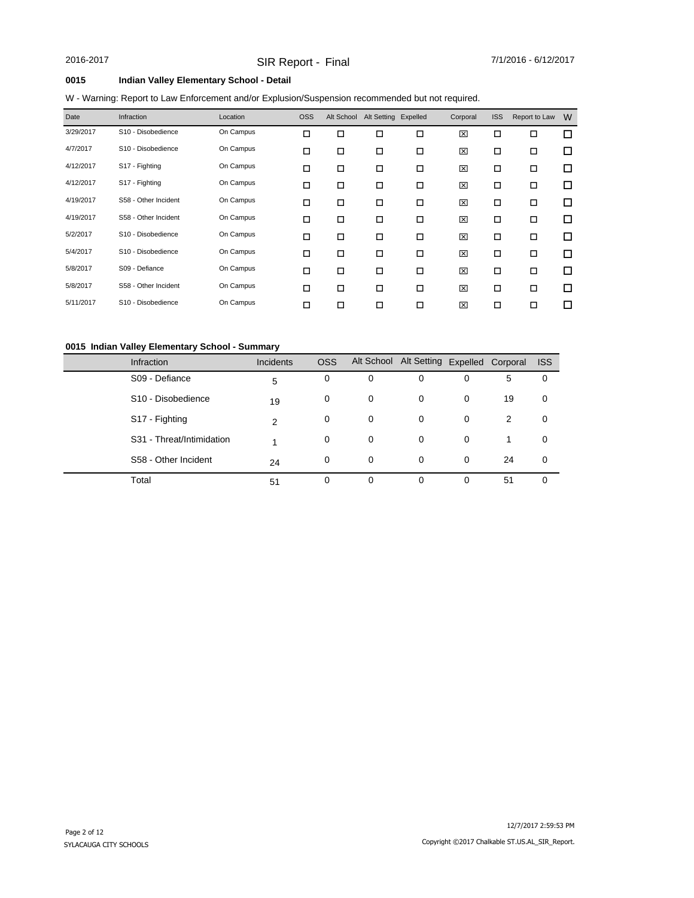### **0015 Indian Valley Elementary School - Detail**

### W - Warning: Report to Law Enforcement and/or Explusion/Suspension recommended but not required.

| Date      | Infraction           | Location  | <b>OSS</b> | Alt School | Alt Setting Expelled |        | Corporal | <b>ISS</b> | Report to Law | W      |
|-----------|----------------------|-----------|------------|------------|----------------------|--------|----------|------------|---------------|--------|
| 3/29/2017 | S10 - Disobedience   | On Campus | □          | □          | □                    | $\Box$ | 区        | □          | □             | □      |
| 4/7/2017  | S10 - Disobedience   | On Campus | □          | □          | □                    | □      | ⊠        | □          | □             | $\Box$ |
| 4/12/2017 | S17 - Fighting       | On Campus | □          | □          | □                    | □      | 区        | □          | □             | $\Box$ |
| 4/12/2017 | S17 - Fighting       | On Campus | □          | □          | □                    | □      | 区        | □          | □             | □      |
| 4/19/2017 | S58 - Other Incident | On Campus | □          | □          | □                    | □      | 区        | □          | □             | □      |
| 4/19/2017 | S58 - Other Incident | On Campus | □          | □          | □                    | □      | 区        | □          | □             | □      |
| 5/2/2017  | S10 - Disobedience   | On Campus | □          | □          | □                    | □      | 区        | □          | □             | □      |
| 5/4/2017  | S10 - Disobedience   | On Campus | □          | □          | □                    | □      | 区        | □          | □             | □      |
| 5/8/2017  | S09 - Defiance       | On Campus | □          | □          | □                    | □      | ⊠        | □          | □             | □      |
| 5/8/2017  | S58 - Other Incident | On Campus | □          | □          | $\Box$               | $\Box$ | 区        | □          | □             | $\Box$ |
| 5/11/2017 | S10 - Disobedience   | On Campus | □          | □          | □                    | □      | 図        | ◻          | □             | П      |

### **0015 Indian Valley Elementary School - Summary**

| <b>Infraction</b>              | <b>Incidents</b> | <b>OSS</b> |   | Alt School Alt Setting Expelled Corporal |          |    | <b>ISS</b> |
|--------------------------------|------------------|------------|---|------------------------------------------|----------|----|------------|
| S09 - Defiance                 | 5                | 0          | 0 | 0                                        | 0        | 5  | 0          |
| S <sub>10</sub> - Disobedience | 19               | 0          | 0 | 0                                        | 0        | 19 | 0          |
| S17 - Fighting                 | 2                | 0          | 0 | 0                                        | $\Omega$ | 2  | 0          |
| S31 - Threat/Intimidation      |                  | 0          | 0 | 0                                        | 0        | 1  | 0          |
| S58 - Other Incident           | 24               | 0          | 0 | 0                                        | $\Omega$ | 24 | 0          |
| Total                          | 51               | 0          | 0 | 0                                        | 0        | 51 | 0          |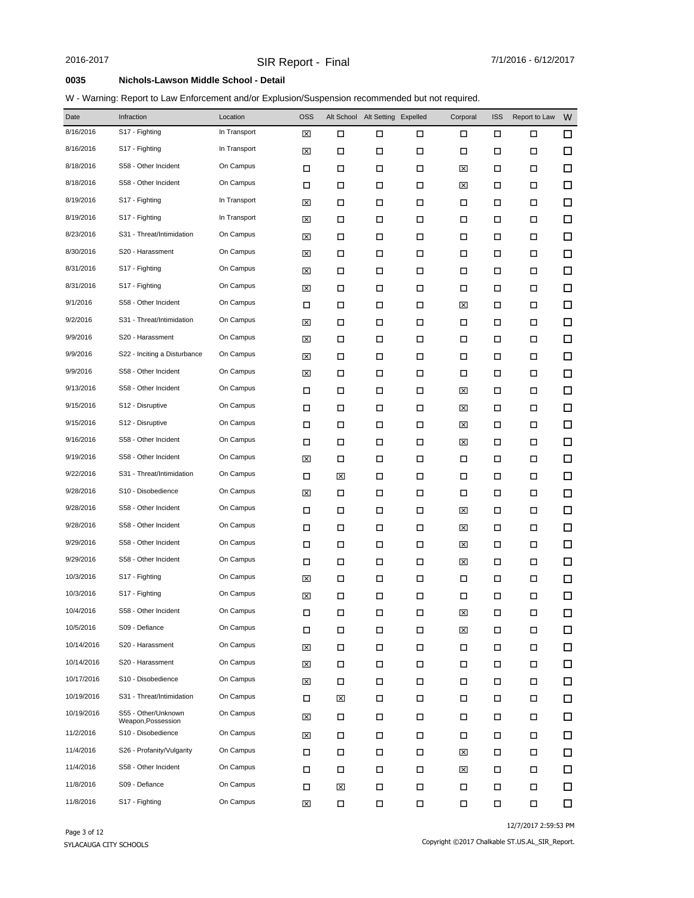### W - Warning: Report to Law Enforcement and/or Explusion/Suspension recommended but not required.

| Date       | Infraction                                | Location     | <b>OSS</b> | Alt School | Alt Setting Expelled |        | Corporal | <b>ISS</b> | Report to Law | W      |
|------------|-------------------------------------------|--------------|------------|------------|----------------------|--------|----------|------------|---------------|--------|
| 8/16/2016  | S17 - Fighting                            | In Transport | ⊠          | □          | □                    | □      | □        | □          | □             | 口      |
| 8/16/2016  | S17 - Fighting                            | In Transport | ⊠          | □          | □                    | □      | □        | □          | □             | $\Box$ |
| 8/18/2016  | S58 - Other Incident                      | On Campus    | □          | □          | □                    | □      | ⊠        | □          | □             | □      |
| 8/18/2016  | S58 - Other Incident                      | On Campus    | □          | □          | □                    | □      | ⊠        | □          | □             | $\Box$ |
| 8/19/2016  | S17 - Fighting                            | In Transport | ⊠          | □          | П                    | $\Box$ | □        | □          | □             | □      |
| 8/19/2016  | S17 - Fighting                            | In Transport | ⊠          | □          | □                    | □      | □        | П          | □             | $\Box$ |
| 8/23/2016  | S31 - Threat/Intimidation                 | On Campus    | ⊠          | □          | □                    | □      | □        | □          | □             | $\Box$ |
| 8/30/2016  | S20 - Harassment                          | On Campus    | ⊠          | □          | П                    | □      | □        | П          | □             | $\Box$ |
| 8/31/2016  | S17 - Fighting                            | On Campus    | ⊠          | □          | □                    | □      | □        | □          | □             | $\Box$ |
| 8/31/2016  | S17 - Fighting                            | On Campus    | ⊠          | □          | П                    | □      | □        | П          | □             | $\Box$ |
| 9/1/2016   | S58 - Other Incident                      | On Campus    | □          | □          | □                    | □      | ⊠        | □          | □             | $\Box$ |
| 9/2/2016   | S31 - Threat/Intimidation                 | On Campus    | ⊠          | □          | □                    | □      | □        | П          | □             | $\Box$ |
| 9/9/2016   | S20 - Harassment                          | On Campus    | ⊠          | $\Box$     | П                    | $\Box$ | $\Box$   | □          | □             | $\Box$ |
| 9/9/2016   | S22 - Inciting a Disturbance              | On Campus    | ⊠          | □          | □                    | □      | □        | □          | □             | $\Box$ |
| 9/9/2016   | S58 - Other Incident                      | On Campus    | ⊠          | □          | □                    | □      | □        | □          | □             | $\Box$ |
| 9/13/2016  | S58 - Other Incident                      | On Campus    | □          | □          | □                    | □      | ⊠        | □          | □             | $\Box$ |
| 9/15/2016  | S12 - Disruptive                          | On Campus    | □          | □          | П                    | □      | ⊠        | □          | □             | $\Box$ |
| 9/15/2016  | S12 - Disruptive                          | On Campus    | □          | □          | □                    | □      | ⊠        | □          | □             | $\Box$ |
| 9/16/2016  | S58 - Other Incident                      | On Campus    | □          | □          | П                    | □      | ⊠        | □          | □             | $\Box$ |
| 9/19/2016  | S58 - Other Incident                      | On Campus    | ⊠          | □          | □                    | □      | □        | □          | □             | □      |
| 9/22/2016  | S31 - Threat/Intimidation                 | On Campus    | □          | 図          | □                    | □      | □        | □          | □             | $\Box$ |
| 9/28/2016  | S10 - Disobedience                        | On Campus    | ⊠          | □          | □                    | □      | □        | □          | □             | $\Box$ |
| 9/28/2016  | S58 - Other Incident                      | On Campus    | □          | □          | □                    | □      | ⊠        | □          | □             | $\Box$ |
| 9/28/2016  | S58 - Other Incident                      | On Campus    | □          | □          | □                    | □      | ⊠        | П          | □             | □      |
| 9/29/2016  | S58 - Other Incident                      | On Campus    | □          | □          | □                    | □      | ⊠        | □          | □             | $\Box$ |
| 9/29/2016  | S58 - Other Incident                      | On Campus    | □          | □          | □                    | □      | ⊠        | □          | □             | □      |
| 10/3/2016  | S17 - Fighting                            | On Campus    | ⊠          | □          | □                    | □      | □        | □          | □             | □      |
| 10/3/2016  | S17 - Fighting                            | On Campus    | ⊠          | □          | □                    | □      | □        | □          | □             | $\Box$ |
| 10/4/2016  | S58 - Other Incident                      | On Campus    | п          | п          | п                    | п      | 冈        | п          | п             | $\Box$ |
| 10/5/2016  | S09 - Defiance                            | On Campus    | П          | $\Box$     | П                    | $\Box$ | ⊠        | $\Box$     | П             | □      |
| 10/14/2016 | S20 - Harassment                          | On Campus    | ⊠          | □          | П                    | П      | □        | □          | □             | $\Box$ |
| 10/14/2016 | S20 - Harassment                          | On Campus    | ⊠          | □          | □                    | □      | □        | □          | □             | □      |
| 10/17/2016 | S10 - Disobedience                        | On Campus    | ⊠          | □          | □                    | □      | □        | □          | □             | 口      |
| 10/19/2016 | S31 - Threat/Intimidation                 | On Campus    | □          | ⊠          | □                    | □      | □        | □          | □             | 口      |
| 10/19/2016 | S55 - Other/Unknown<br>Weapon, Possession | On Campus    | ⊠          | □          | □                    | □      | □        | □          | □             | $\Box$ |
| 11/2/2016  | S10 - Disobedience                        | On Campus    | ⊠          | □          | П                    | □      | □        | □          | □             | 口      |
| 11/4/2016  | S26 - Profanity/Vulgarity                 | On Campus    | □          | □          | П                    | □      | ⊠        | □          | □             | 口      |
| 11/4/2016  | S58 - Other Incident                      | On Campus    | □          | □          | П                    | □      | ⊠        | □          | □             | 口      |
| 11/8/2016  | S09 - Defiance                            | On Campus    | □          | ⊠          | П                    | □      | □        | □          | □             | □      |
| 11/8/2016  | S17 - Fighting                            | On Campus    | ⊠          | □          | П                    | П      | □        | $\Box$     | □             | $\Box$ |

12/7/2017 2:59:53 PM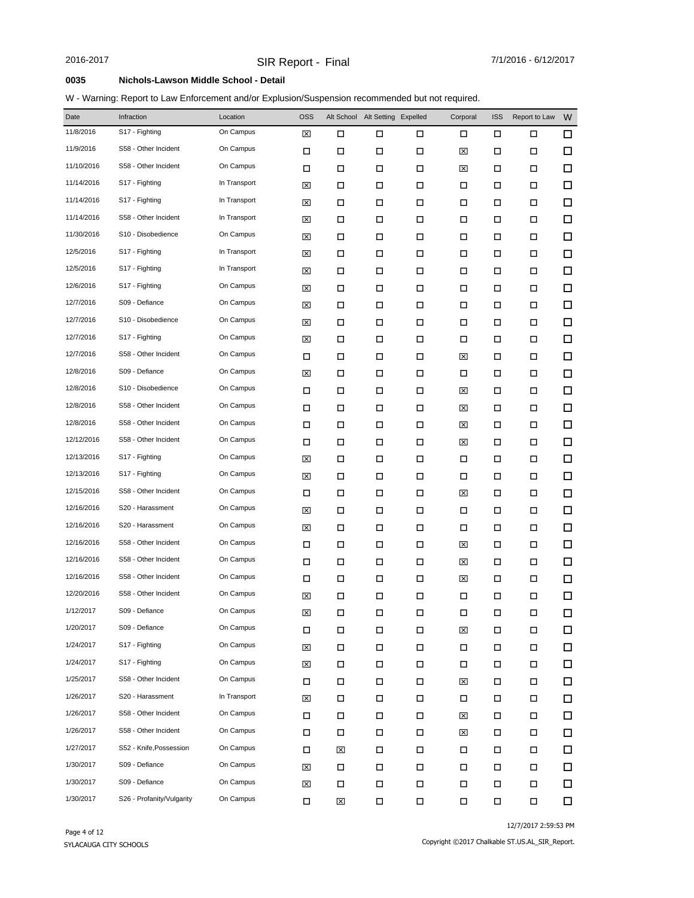### W - Warning: Report to Law Enforcement and/or Explusion/Suspension recommended but not required.

| Date       | Infraction                | Location     | <b>OSS</b> | Alt School | Alt Setting Expelled |        | Corporal    | <b>ISS</b> | Report to Law | W      |
|------------|---------------------------|--------------|------------|------------|----------------------|--------|-------------|------------|---------------|--------|
| 11/8/2016  | S17 - Fighting            | On Campus    | 区          | □          | □                    | □      | □           | □          | П             | 口      |
| 11/9/2016  | S58 - Other Incident      | On Campus    | □          | П          | П                    | $\Box$ | ⊠           | □          | □             | $\Box$ |
| 11/10/2016 | S58 - Other Incident      | On Campus    | □          | □          | □                    | □      | ⊠           | □          | □             | $\Box$ |
| 11/14/2016 | S17 - Fighting            | In Transport | ⊠          | □          | □                    | □      | □           | □          | □             | $\Box$ |
| 11/14/2016 | S17 - Fighting            | In Transport | ⊠          | □          | П                    | $\Box$ | □           | □          | □             | □      |
| 11/14/2016 | S58 - Other Incident      | In Transport | ⊠          | □          | □                    | □      | □           | □          | □             | $\Box$ |
| 11/30/2016 | S10 - Disobedience        | On Campus    | ⊠          | □          | П                    | □      | □           | □          | □             | $\Box$ |
| 12/5/2016  | S17 - Fighting            | In Transport | ⊠          | □          | □                    | □      | □           | □          | □             | $\Box$ |
| 12/5/2016  | S17 - Fighting            | In Transport | ⊠          | □          | П                    | □      | П           | □          | □             | $\Box$ |
| 12/6/2016  | S17 - Fighting            | On Campus    | ⊠          | □          | □                    | □      | □           | □          | □             | $\Box$ |
| 12/7/2016  | S09 - Defiance            | On Campus    | ⊠          | □          | □                    | □      | □           | □          | □             | $\Box$ |
| 12/7/2016  | S10 - Disobedience        | On Campus    | ⊠          | □          | □                    | □      | □           | □          | □             | □      |
| 12/7/2016  | S17 - Fighting            | On Campus    | ⊠          | □          | □                    | □      | □           | □          | □             | $\Box$ |
| 12/7/2016  | S58 - Other Incident      | On Campus    | □          | □          | □                    | □      | ⊠           | □          | □             | $\Box$ |
| 12/8/2016  | S09 - Defiance            | On Campus    | ⊠          | □          | □                    | □      | □           | □          | □             | $\Box$ |
| 12/8/2016  | S10 - Disobedience        | On Campus    | □          | □          | □                    | □      | ⊠           | □          | □             | □      |
| 12/8/2016  | S58 - Other Incident      | On Campus    | □          | □          | □                    | □      | ⊠           | □          | □             | $\Box$ |
| 12/8/2016  | S58 - Other Incident      | On Campus    | □          | □          | □                    | □      | ⊠           | □          | □             | $\Box$ |
| 12/12/2016 | S58 - Other Incident      | On Campus    | □          | □          | П                    | □      | ⊠           | □          | □             | $\Box$ |
| 12/13/2016 | S17 - Fighting            | On Campus    | ⊠          | □          | □                    | □      | □           | □          | □             | □      |
| 12/13/2016 | S17 - Fighting            | On Campus    | ⊠          | □          | П                    | □      | □           | □          | □             | $\Box$ |
| 12/15/2016 | S58 - Other Incident      | On Campus    | □          | □          | □                    | □      | ⊠           | □          | □             | □      |
| 12/16/2016 | S20 - Harassment          | On Campus    | ⊠          | □          | □                    | □      | □           | □          | □             | $\Box$ |
| 12/16/2016 | S20 - Harassment          | On Campus    | ⊠          | □          | $\Box$               | □      | □           | □          | □             | □      |
| 12/16/2016 | S58 - Other Incident      | On Campus    | □          | □          | □                    | □      | ⊠           | □          | □             | $\Box$ |
| 12/16/2016 | S58 - Other Incident      | On Campus    | □          | □          | □                    | □      | ⊠           | □          | □             | $\Box$ |
| 12/16/2016 | S58 - Other Incident      | On Campus    | □          | □          | □                    | □      | ⊠           | □          | □             | $\Box$ |
| 12/20/2016 | S58 - Other Incident      | On Campus    | ⊠          | □          | □                    | □      | □           | □          | □             | $\Box$ |
| 1/12/2017  | S09 - Defiance            | On Campus    | 区          | □          | п                    | □      | □           | □          | □             | $\Box$ |
| 1/20/2017  | S09 - Defiance            | On Campus    | П          | □          | П                    | $\Box$ | ⊠           | □          | □             | □      |
| 1/24/2017  | S17 - Fighting            | On Campus    | 区          | П          | П                    | $\Box$ | П           | П          | П             | $\Box$ |
| 1/24/2017  | S17 - Fighting            | On Campus    | ⊠          | □          | □                    | □      | □           | □          | П             | □      |
| 1/25/2017  | S58 - Other Incident      | On Campus    | □          | □          | П                    | П      | ⊠           | П          | П             | 口      |
| 1/26/2017  | S20 - Harassment          | In Transport | ⊠          | П          | П                    | П      | П           | □          | П             | 口      |
| 1/26/2017  | S58 - Other Incident      | On Campus    | П          | □          | П                    | $\Box$ | $\boxtimes$ | П          | □             | $\Box$ |
| 1/26/2017  | S58 - Other Incident      | On Campus    | □          | □          | □                    | □      | ⊠           | □          | □             | □      |
| 1/27/2017  | S52 - Knife, Possession   | On Campus    | □          | 区          | П                    | $\Box$ | П           | П          | П             | 口      |
| 1/30/2017  | S09 - Defiance            | On Campus    | 区          | □          | П                    | □      | П           | □          | П             | □      |
| 1/30/2017  | S09 - Defiance            | On Campus    | ⊠          | □          | П                    | $\Box$ | П           | П          | П             | □      |
| 1/30/2017  | S26 - Profanity/Vulgarity | On Campus    | П          | ⊠          | П                    | $\Box$ | П           | $\Box$     | $\Box$        | □      |

12/7/2017 2:59:53 PM

Copyright ©2017 Chalkable ST.US.AL\_SIR\_Report.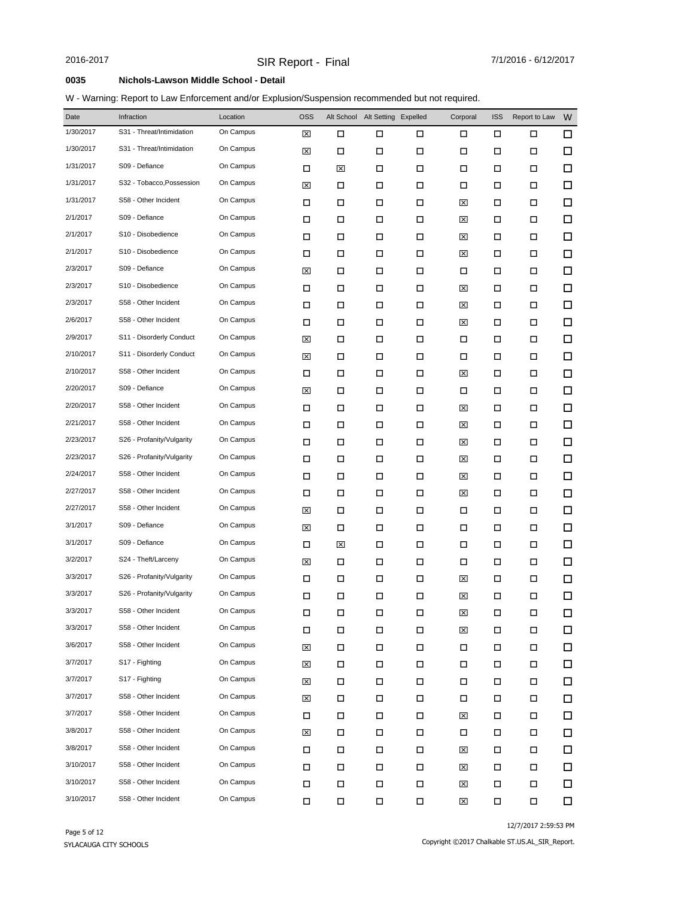### W - Warning: Report to Law Enforcement and/or Explusion/Suspension recommended but not required.

| Date      | Infraction                | Location  | <b>OSS</b> |        | Alt School Alt Setting Expelled |        | Corporal | <b>ISS</b> | Report to Law | W      |
|-----------|---------------------------|-----------|------------|--------|---------------------------------|--------|----------|------------|---------------|--------|
| 1/30/2017 | S31 - Threat/Intimidation | On Campus | ⊠          | □      | □                               | □      | □        | □          | □             | 口      |
| 1/30/2017 | S31 - Threat/Intimidation | On Campus | ⊠          | □      | □                               | □      | □        | □          | □             | $\Box$ |
| 1/31/2017 | S09 - Defiance            | On Campus | □          | 図      | □                               | □      | □        | □          | □             | □      |
| 1/31/2017 | S32 - Tobacco, Possession | On Campus | ⊠          | □      | □                               | □      | □        | □          | □             | $\Box$ |
| 1/31/2017 | S58 - Other Incident      | On Campus | □          | □      | □                               | $\Box$ | ⊠        | □          | □             | □      |
| 2/1/2017  | S09 - Defiance            | On Campus | □          | □      | □                               | □      | ⊠        | П          | □             | $\Box$ |
| 2/1/2017  | S10 - Disobedience        | On Campus | □          | □      | □                               | □      | ⊠        | □          | □             | $\Box$ |
| 2/1/2017  | S10 - Disobedience        | On Campus | □          | □      | П                               | □      | ⊠        | П          | □             | $\Box$ |
| 2/3/2017  | S09 - Defiance            | On Campus | ⊠          | □      | □                               | □      | □        | □          | □             | $\Box$ |
| 2/3/2017  | S10 - Disobedience        | On Campus | □          | □      | П                               | □      | ⊠        | П          | □             | $\Box$ |
| 2/3/2017  | S58 - Other Incident      | On Campus | □          | □      | □                               | □      | ⊠        | □          | □             | $\Box$ |
| 2/6/2017  | S58 - Other Incident      | On Campus | □          | □      | □                               | □      | ⊠        | П          | □             | $\Box$ |
| 2/9/2017  | S11 - Disorderly Conduct  | On Campus | ⊠          | □      | П                               | $\Box$ | $\Box$   | □          | □             | $\Box$ |
| 2/10/2017 | S11 - Disorderly Conduct  | On Campus | ⊠          | □      | □                               | □      | □        | □          | □             | $\Box$ |
| 2/10/2017 | S58 - Other Incident      | On Campus | □          | □      | □                               | □      | ⊠        | □          | □             | $\Box$ |
| 2/20/2017 | S09 - Defiance            | On Campus | ⊠          | □      | □                               | □      | □        | □          | □             | $\Box$ |
| 2/20/2017 | S58 - Other Incident      | On Campus | □          | □      | □                               | □      | ⊠        | □          | □             | $\Box$ |
| 2/21/2017 | S58 - Other Incident      | On Campus | □          | □      | □                               | □      | ⊠        | □          | □             | $\Box$ |
| 2/23/2017 | S26 - Profanity/Vulgarity | On Campus | □          | □      | П                               | □      | ⊠        | □          | □             | $\Box$ |
| 2/23/2017 | S26 - Profanity/Vulgarity | On Campus | □          | □      | □                               | □      | ⊠        | □          | □             | □      |
| 2/24/2017 | S58 - Other Incident      | On Campus | □          | □      | □                               | □      | ⊠        | □          | □             | $\Box$ |
| 2/27/2017 | S58 - Other Incident      | On Campus | □          | □      | □                               | □      | ⊠        | □          | □             | $\Box$ |
| 2/27/2017 | S58 - Other Incident      | On Campus | ⊠          | □      | □                               | □      | □        | □          | □             | $\Box$ |
| 3/1/2017  | S09 - Defiance            | On Campus | ⊠          | □      | □                               | □      | □        | □          | □             | □      |
| 3/1/2017  | S09 - Defiance            | On Campus | □          | 図      | □                               | □      | □        | □          | □             | $\Box$ |
| 3/2/2017  | S24 - Theft/Larceny       | On Campus | ⊠          | □      | □                               | □      | □        | □          | □             | □      |
| 3/3/2017  | S26 - Profanity/Vulgarity | On Campus | □          | □      | □                               | □      | ⊠        | □          | □             | □      |
| 3/3/2017  | S26 - Profanity/Vulgarity | On Campus | □          | □      | □                               | □      | ⊠        | □          | □             | $\Box$ |
| 3/3/2017  | S58 - Other Incident      | On Campus | п          | п      | п                               | п      | 冈        | п          | п             | $\Box$ |
| 3/3/2017  | S58 - Other Incident      | On Campus | П          | $\Box$ | П                               | $\Box$ | 図        | П          | П             | □      |
| 3/6/2017  | S58 - Other Incident      | On Campus | ⊠          | □      | П                               | $\Box$ | П        | П          | П             | $\Box$ |
| 3/7/2017  | S17 - Fighting            | On Campus | ⊠          | □      | П                               | □      | □        | □          | П             | 口      |
| 3/7/2017  | S17 - Fighting            | On Campus | ⊠          | □      | П                               | П      | П        | □          | П             | $\Box$ |
| 3/7/2017  | S58 - Other Incident      | On Campus | ⊠          | □      | П                               | $\Box$ | П        | □          | П             | 口      |
| 3/7/2017  | S58 - Other Incident      | On Campus | □          | □      | П                               | П      | ⊠        | П          | □             | $\Box$ |
| 3/8/2017  | S58 - Other Incident      | On Campus | ⊠          | □      | □                               | □      | □        | $\Box$     | П             | □      |
| 3/8/2017  | S58 - Other Incident      | On Campus | □          | □      | П                               | П      | ⊠        | $\Box$     | П             | $\Box$ |
| 3/10/2017 | S58 - Other Incident      | On Campus | П          | □      | П                               | $\Box$ | ⊠        | □          | П             | 口      |
| 3/10/2017 | S58 - Other Incident      | On Campus | П          | □      | П                               | $\Box$ | ⊠        | П          | П             | 口      |
| 3/10/2017 | S58 - Other Incident      | On Campus | □          | $\Box$ | П                               | $\Box$ | 図        | П          | П             | $\Box$ |

12/7/2017 2:59:53 PM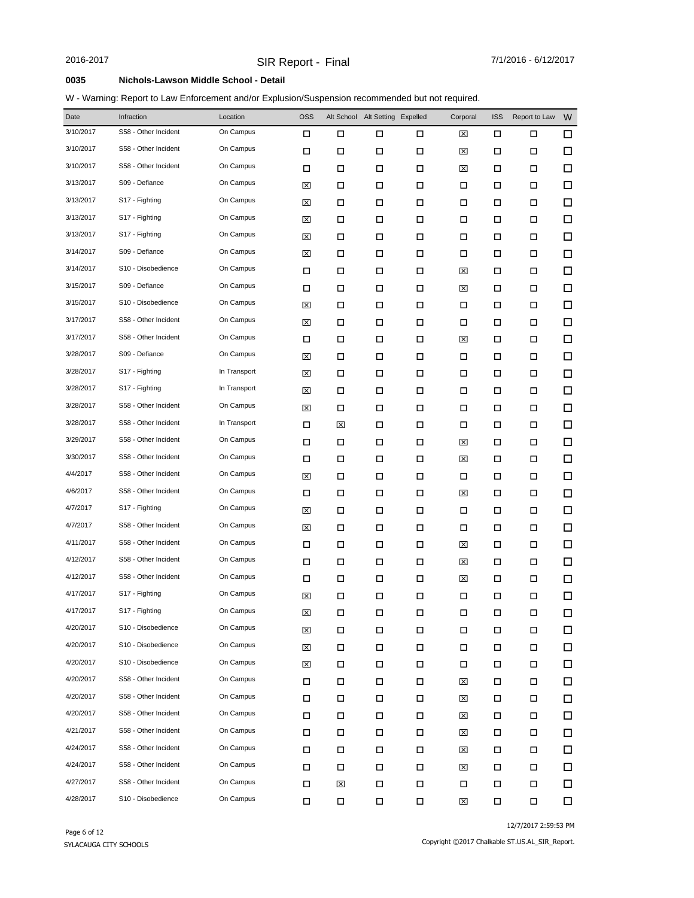### W - Warning: Report to Law Enforcement and/or Explusion/Suspension recommended but not required.

| Date      | Infraction           | Location     | <b>OSS</b> |   | Alt School Alt Setting | Expelled | Corporal | <b>ISS</b> | Report to Law | W      |
|-----------|----------------------|--------------|------------|---|------------------------|----------|----------|------------|---------------|--------|
| 3/10/2017 | S58 - Other Incident | On Campus    | □          | □ | □                      | □        | ⊠        | □          | □             | 口      |
| 3/10/2017 | S58 - Other Incident | On Campus    | □          | П | □                      | $\Box$   | ⊠        | □          | □             | $\Box$ |
| 3/10/2017 | S58 - Other Incident | On Campus    | □          | П | □                      | □        | ⊠        | □          | □             | $\Box$ |
| 3/13/2017 | S09 - Defiance       | On Campus    | ⊠          | □ | □                      | □        | □        | □          | □             | $\Box$ |
| 3/13/2017 | S17 - Fighting       | On Campus    | ⊠          | □ | □                      | □        | □        | □          | □             | $\Box$ |
| 3/13/2017 | S17 - Fighting       | On Campus    | ⊠          | □ | □                      | □        | □        | □          | □             | $\Box$ |
| 3/13/2017 | S17 - Fighting       | On Campus    | ⊠          | □ | □                      | □        | □        | □          | □             | $\Box$ |
| 3/14/2017 | S09 - Defiance       | On Campus    | ⊠          | □ | □                      | □        | □        | □          | □             | $\Box$ |
| 3/14/2017 | S10 - Disobedience   | On Campus    | □          | □ | □                      | □        | ⊠        | □          | □             | $\Box$ |
| 3/15/2017 | S09 - Defiance       | On Campus    | □          | □ | □                      | □        | ⊠        | □          | □             | $\Box$ |
| 3/15/2017 | S10 - Disobedience   | On Campus    | ⊠          | □ | □                      | □        | □        | □          | □             | $\Box$ |
| 3/17/2017 | S58 - Other Incident | On Campus    | ⊠          | □ | □                      | □        | □        | □          | □             | □      |
| 3/17/2017 | S58 - Other Incident | On Campus    | □          | □ | □                      | □        | ⊠        | □          | □             | $\Box$ |
| 3/28/2017 | S09 - Defiance       | On Campus    | ⊠          | □ | □                      | □        | □        | □          | □             | □      |
| 3/28/2017 | S17 - Fighting       | In Transport | ⊠          | □ | □                      | □        | □        | □          | □             | $\Box$ |
| 3/28/2017 | S17 - Fighting       | In Transport | ⊠          | □ | П                      | □        | □        | □          | □             | □      |
| 3/28/2017 | S58 - Other Incident | On Campus    | ⊠          | □ | П                      | □        | □        | □          | □             | $\Box$ |
| 3/28/2017 | S58 - Other Incident | In Transport | □          | ⊠ | □                      | □        | □        | □          | □             | □      |
| 3/29/2017 | S58 - Other Incident | On Campus    | □          | П | □                      | □        | ⊠        | □          | □             | $\Box$ |
| 3/30/2017 | S58 - Other Incident | On Campus    | □          | □ | □                      | □        | ⊠        | □          | □             | $\Box$ |
| 4/4/2017  | S58 - Other Incident | On Campus    | ⊠          | П | □                      | □        | □        | □          | □             | $\Box$ |
| 4/6/2017  | S58 - Other Incident | On Campus    | □          | □ | □                      | □        | ⊠        | □          | □             | $\Box$ |
| 4/7/2017  | S17 - Fighting       | On Campus    | ⊠          | □ | □                      | □        | □        | □          | □             | $\Box$ |
| 4/7/2017  | S58 - Other Incident | On Campus    | ⊠          | □ | □                      | □        | □        | □          | □             | $\Box$ |
| 4/11/2017 | S58 - Other Incident | On Campus    | □          | □ | □                      | □        | ⊠        | □          | □             | $\Box$ |
| 4/12/2017 | S58 - Other Incident | On Campus    | □          | □ | □                      | □        | ⊠        | □          | □             | □      |
| 4/12/2017 | S58 - Other Incident | On Campus    | □          | □ | □                      | □        | ⊠        | □          | □             | $\Box$ |
| 4/17/2017 | S17 - Fighting       | On Campus    | 図          | □ | □                      | □        | □        | □          | □             | $\Box$ |
| 4/17/2017 | S17 - Fighting       | On Campus    | 図          | □ | □                      | Д        | □        | П          | П             | $\Box$ |
| 4/20/2017 | S10 - Disobedience   | On Campus    | 図          | □ | □                      | $\Box$   | П        | П          | П             | □      |
| 4/20/2017 | S10 - Disobedience   | On Campus    | 区          | □ | П                      | $\Box$   | П        | П          | П             | 口      |
| 4/20/2017 | S10 - Disobedience   | On Campus    | 区          | П | □                      | П        | □        | □          | П             | □      |
| 4/20/2017 | S58 - Other Incident | On Campus    | П          | □ | П                      | Д        | ⊠        | П          | П             | 口      |
| 4/20/2017 | S58 - Other Incident | On Campus    | П          | □ | П                      | П        | ⊠        | □          | П             | 口      |
| 4/20/2017 | S58 - Other Incident | On Campus    | □          | □ | П                      | □        | ⊠        | П          | □             | 口      |
| 4/21/2017 | S58 - Other Incident | On Campus    | $\Box$     | □ | □                      | □        | ⊠        | □          | □             | □      |
| 4/24/2017 | S58 - Other Incident | On Campus    | П          | □ | П                      | $\Box$   | ⊠        | П          | □             | 口      |
| 4/24/2017 | S58 - Other Incident | On Campus    | П          | □ | П                      | □        | ⊠        | □          | П             | □      |
| 4/27/2017 | S58 - Other Incident | On Campus    | П          | ⊠ | П                      | Д        | □        | □          | П             | 口      |
| 4/28/2017 | S10 - Disobedience   | On Campus    | Π          | П | $\Box$                 | $\Box$   | ⊠        | П          | П             | $\Box$ |

12/7/2017 2:59:53 PM

Copyright ©2017 Chalkable ST.US.AL\_SIR\_Report.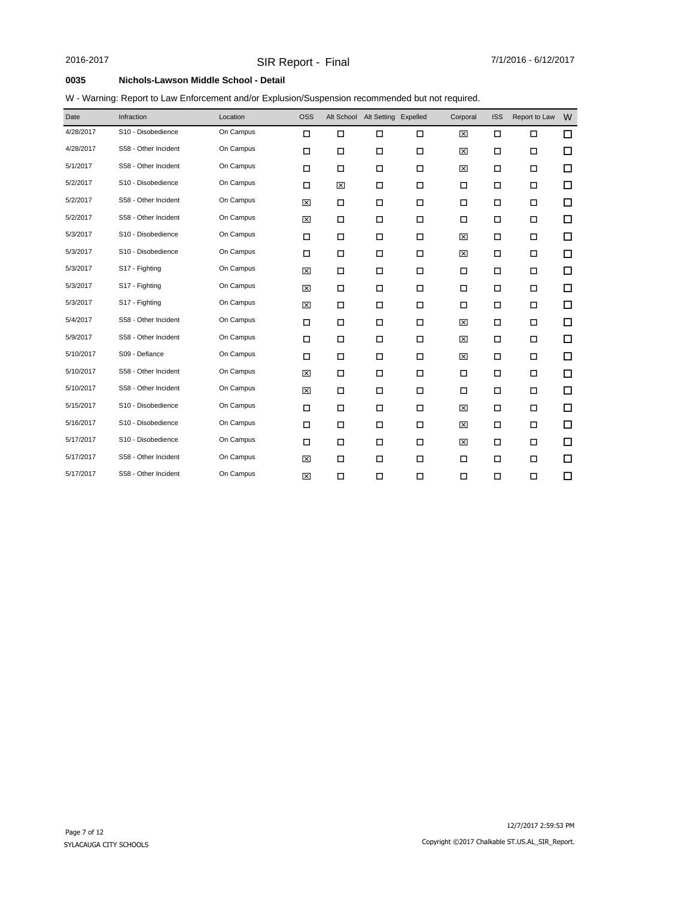### W - Warning: Report to Law Enforcement and/or Explusion/Suspension recommended but not required.

| Date      | Infraction           | Location  | <b>OSS</b> |        | Alt School Alt Setting Expelled |        | Corporal | <b>ISS</b> | Report to Law | W      |
|-----------|----------------------|-----------|------------|--------|---------------------------------|--------|----------|------------|---------------|--------|
| 4/28/2017 | S10 - Disobedience   | On Campus | $\Box$     | $\Box$ | $\Box$                          | $\Box$ | 図        | $\Box$     | $\Box$        | $\Box$ |
| 4/28/2017 | S58 - Other Incident | On Campus | $\Box$     | $\Box$ | $\Box$                          | $\Box$ | 区        | $\Box$     | $\Box$        | □      |
| 5/1/2017  | S58 - Other Incident | On Campus | $\Box$     | $\Box$ | $\Box$                          | $\Box$ | 図        | $\Box$     | $\Box$        | □      |
| 5/2/2017  | S10 - Disobedience   | On Campus | $\Box$     | 区      | $\Box$                          | $\Box$ | Ω        | $\Box$     | $\Box$        | □      |
| 5/2/2017  | S58 - Other Incident | On Campus | 図          | П      | $\Box$                          | $\Box$ | $\Box$   | $\Box$     | П             | □      |
| 5/2/2017  | S58 - Other Incident | On Campus | 図          | П      | □                               | $\Box$ | □        | П          | П             | □      |
| 5/3/2017  | S10 - Disobedience   | On Campus | □          | П      | $\Box$                          | $\Box$ | ⊠        | $\Box$     | П             | □      |
| 5/3/2017  | S10 - Disobedience   | On Campus | □          | П      | $\Box$                          | $\Box$ | ⊠        | $\Box$     | П             | □      |
| 5/3/2017  | S17 - Fighting       | On Campus | 図          | П      | □                               | $\Box$ | $\Box$   | П          | П             | □      |
| 5/3/2017  | S17 - Fighting       | On Campus | 図          | $\Box$ | $\Box$                          | $\Box$ | $\Box$   | $\Box$     | □             | □      |
| 5/3/2017  | S17 - Fighting       | On Campus | 図          | $\Box$ | $\Box$                          | $\Box$ | Ω        | $\Box$     | П             | □      |
| 5/4/2017  | S58 - Other Incident | On Campus | □          | $\Box$ | $\Box$                          | $\Box$ | ⊠        | $\Box$     | □             | □      |
| 5/9/2017  | S58 - Other Incident | On Campus | □          | $\Box$ | $\Box$                          | $\Box$ | ⊠        | $\Box$     | $\Box$        | □      |
| 5/10/2017 | S09 - Defiance       | On Campus | $\Box$     | $\Box$ | $\Box$                          | $\Box$ | ⊠        | $\Box$     | П             | □      |
| 5/10/2017 | S58 - Other Incident | On Campus | 図          | П      | □                               | □      | П        | П          | П             | □      |
| 5/10/2017 | S58 - Other Incident | On Campus | 図          | П      | □                               | □      | П        | П          | П             | □      |
| 5/15/2017 | S10 - Disobedience   | On Campus | □          | П      | $\Box$                          | □      | ⊠        | □          | П             | □      |
| 5/16/2017 | S10 - Disobedience   | On Campus | □          | $\Box$ | $\Box$                          | $\Box$ | ⊠        | $\Box$     | □             | □      |
| 5/17/2017 | S10 - Disobedience   | On Campus | $\Box$     | $\Box$ | $\Box$                          | $\Box$ | 図        | $\Box$     | $\Box$        | □      |
| 5/17/2017 | S58 - Other Incident | On Campus | 図          | П      | $\Box$                          | $\Box$ | П        | □          | П             | □      |
| 5/17/2017 | S58 - Other Incident | On Campus | 図          | $\Box$ | $\Box$                          | $\Box$ | □        | $\Box$     | $\Box$        | □      |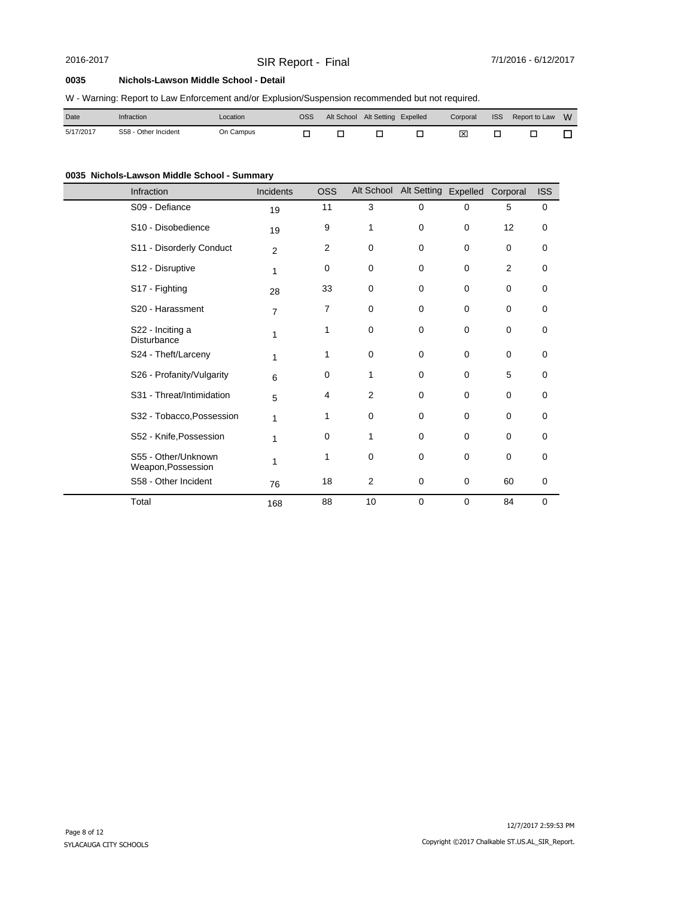# SIR Report - Final 2016-2017 7/1/2016 - 6/12/2017

### **0035 Nichols-Lawson Middle School - Detail**

|  |  |  |  |  | W - Warning: Report to Law Enforcement and/or Explusion/Suspension recommended but not required. |
|--|--|--|--|--|--------------------------------------------------------------------------------------------------|
|--|--|--|--|--|--------------------------------------------------------------------------------------------------|

| Date      | Infraction           | ∟ocation  | OSS | Alt School Alt Setting Expelled |  |  | Corporal ISS Report to Law W |  |
|-----------|----------------------|-----------|-----|---------------------------------|--|--|------------------------------|--|
| 5/17/2017 | S58 - Other Incident | On Campus |     |                                 |  |  |                              |  |

## **0035 Nichols-Lawson Middle School - Summary**

| Infraction |                                           | Incidents      | <b>OSS</b> |                | Alt School Alt Setting Expelled |             | Corporal    | <b>ISS</b>  |
|------------|-------------------------------------------|----------------|------------|----------------|---------------------------------|-------------|-------------|-------------|
|            | S09 - Defiance                            | 19             | 11         | 3              | $\mathbf 0$                     | 0           | 5           | $\mathbf 0$ |
|            | S10 - Disobedience                        | 19             | 9          | 1              | $\mathbf 0$                     | 0           | 12          | 0           |
|            | S11 - Disorderly Conduct                  | $\overline{2}$ | 2          | 0              | 0                               | 0           | 0           | 0           |
|            | S12 - Disruptive                          | 1              | 0          | 0              | 0                               | 0           | 2           | 0           |
|            | S17 - Fighting                            | 28             | 33         | 0              | $\mathbf 0$                     | $\mathbf 0$ | 0           | 0           |
|            | S20 - Harassment                          | $\overline{7}$ | 7          | 0              | 0                               | $\mathbf 0$ | 0           | 0           |
|            | S22 - Inciting a<br>Disturbance           | 1              | 1          | $\mathbf 0$    | 0                               | $\Omega$    | 0           | 0           |
|            | S24 - Theft/Larceny                       | 1              | 1          | $\mathbf 0$    | 0                               | $\mathbf 0$ | $\mathbf 0$ | 0           |
|            | S26 - Profanity/Vulgarity                 | 6              | 0          | 1              | 0                               | $\mathbf 0$ | 5           | 0           |
|            | S31 - Threat/Intimidation                 | 5              | 4          | $\overline{2}$ | 0                               | $\Omega$    | $\mathbf 0$ | $\mathbf 0$ |
|            | S32 - Tobacco, Possession                 | 1              | 1          | $\mathbf 0$    | 0                               | $\mathbf 0$ | 0           | 0           |
|            | S52 - Knife, Possession                   | 1              | 0          | 1              | 0                               | 0           | $\mathbf 0$ | 0           |
|            | S55 - Other/Unknown<br>Weapon, Possession | 1              | 1          | 0              | 0                               | 0           | $\mathbf 0$ | 0           |
|            | S58 - Other Incident                      | 76             | 18         | $\overline{2}$ | 0                               | 0           | 60          | 0           |
| Total      |                                           | 168            | 88         | 10             | $\mathbf 0$                     | $\mathbf 0$ | 84          | $\mathbf 0$ |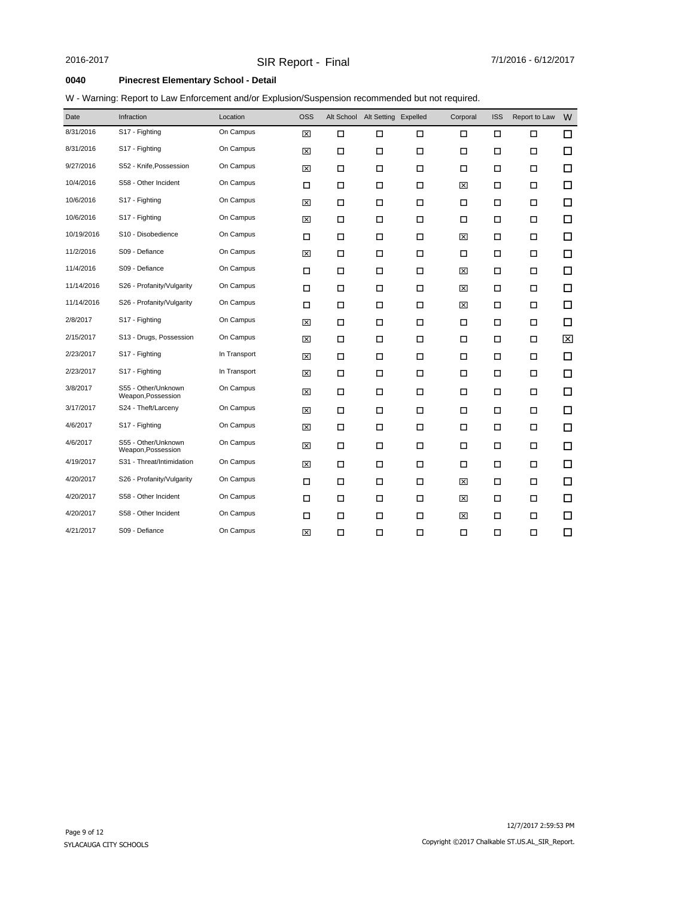### **0040 Pinecrest Elementary School - Detail**

### W - Warning: Report to Law Enforcement and/or Explusion/Suspension recommended but not required.

| Date       | Infraction                                | Location     | <b>OSS</b> |        | Alt School Alt Setting Expelled |        | Corporal | <b>ISS</b> | Report to Law | W      |
|------------|-------------------------------------------|--------------|------------|--------|---------------------------------|--------|----------|------------|---------------|--------|
| 8/31/2016  | S17 - Fighting                            | On Campus    | ⊠          | $\Box$ | $\Box$                          | □      | $\Box$   | $\Box$     | $\Box$        | $\Box$ |
| 8/31/2016  | S17 - Fighting                            | On Campus    | ⊠          | $\Box$ | $\Box$                          | $\Box$ | Ω        | $\Box$     | П             | □      |
| 9/27/2016  | S52 - Knife, Possession                   | On Campus    | 図          | □      | $\Box$                          | $\Box$ | □        | □          | □             | □      |
| 10/4/2016  | S58 - Other Incident                      | On Campus    | □          | П      | $\Box$                          | □      | ⊠        | □          | П             | □      |
| 10/6/2016  | S17 - Fighting                            | On Campus    | 図          | П      | □                               | □      | □        | П          | П             | $\Box$ |
| 10/6/2016  | S17 - Fighting                            | On Campus    | ⊠          | П      | $\Box$                          | $\Box$ | П        | П          | П             | $\Box$ |
| 10/19/2016 | S10 - Disobedience                        | On Campus    | □          | П      | $\Box$                          | $\Box$ | ⊠        | □          | П             | $\Box$ |
| 11/2/2016  | S09 - Defiance                            | On Campus    | ⊠          | П      | $\Box$                          | □      | □        | □          | П             | □      |
| 11/4/2016  | S09 - Defiance                            | On Campus    | □          | □      | $\Box$                          | □      | ⊠        | □          | П             | $\Box$ |
| 11/14/2016 | S26 - Profanity/Vulgarity                 | On Campus    | □          | П      | $\Box$                          | □      | ⊠        | □          | П             | □      |
| 11/14/2016 | S26 - Profanity/Vulgarity                 | On Campus    | □          | П      | $\Box$                          | $\Box$ | ⊠        | □          | П             | □      |
| 2/8/2017   | S17 - Fighting                            | On Campus    | ⊠          | П      | $\Box$                          | $\Box$ | □        | □          | П             | □      |
| 2/15/2017  | S13 - Drugs, Possession                   | On Campus    | 図          | П      | $\Box$                          | $\Box$ | П        | $\Box$     | П             | ⊠      |
| 2/23/2017  | S17 - Fighting                            | In Transport | 図          | П      | □                               | □      | □        | □          | П             | □      |
| 2/23/2017  | S17 - Fighting                            | In Transport | 図          | П      | □                               | □      | П        | □          | П             | $\Box$ |
| 3/8/2017   | S55 - Other/Unknown<br>Weapon, Possession | On Campus    | ⊠          | $\Box$ | $\Box$                          | $\Box$ | П        | $\Box$     | $\Box$        | □      |
| 3/17/2017  | S24 - Theft/Larceny                       | On Campus    | 図          | $\Box$ | $\Box$                          | $\Box$ | $\Box$   | □          | П             | $\Box$ |
| 4/6/2017   | S17 - Fighting                            | On Campus    | ⊠          | П      | $\Box$                          | $\Box$ | □        | □          | П             | □      |
| 4/6/2017   | S55 - Other/Unknown<br>Weapon, Possession | On Campus    | ⊠          | П      | □                               | $\Box$ | □        | □          | П             | $\Box$ |
| 4/19/2017  | S31 - Threat/Intimidation                 | On Campus    | ⊠          | □      | $\Box$                          | $\Box$ | Ω        | $\Box$     | □             | $\Box$ |
| 4/20/2017  | S26 - Profanity/Vulgarity                 | On Campus    | □          | П      | $\Box$                          | $\Box$ | ⊠        | □          | □             | □      |
| 4/20/2017  | S58 - Other Incident                      | On Campus    | □          | П      | $\Box$                          | □      | ⊠        | □          | П             | $\Box$ |
| 4/20/2017  | S58 - Other Incident                      | On Campus    | □          | П      | □                               | □      | ⊠        | П          | П             | □      |
| 4/21/2017  | S09 - Defiance                            | On Campus    | ⊠          | $\Box$ | $\Box$                          | $\Box$ | □        | $\Box$     | $\Box$        | □      |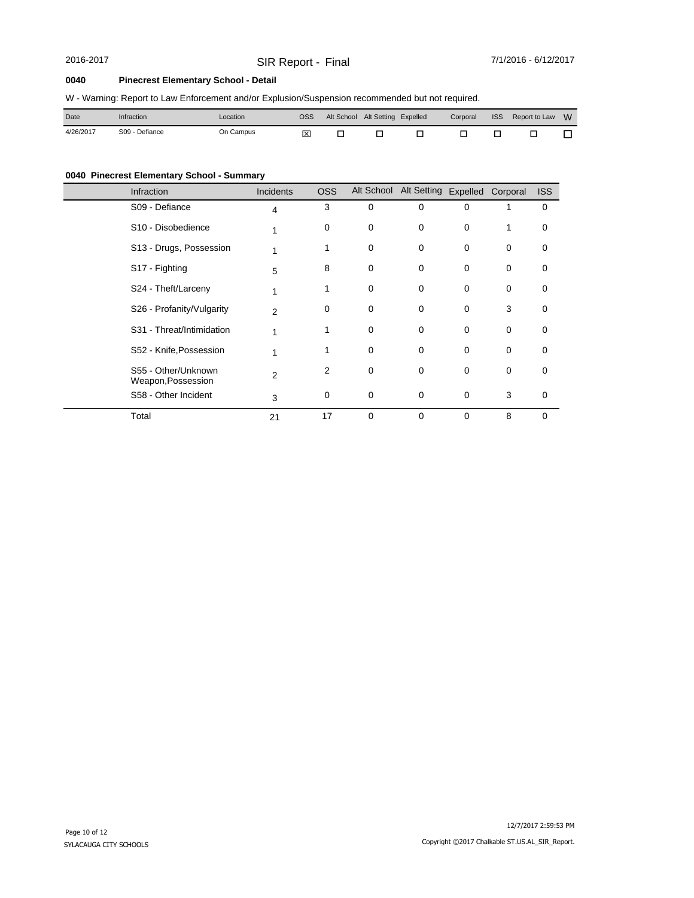# SIR Report - Final 2016-2017 7/1/2016 - 6/12/2017

### **0040 Pinecrest Elementary School - Detail**

|  |  | W - Warning: Report to Law Enforcement and/or Explusion/Suspension recommended but not required. |  |
|--|--|--------------------------------------------------------------------------------------------------|--|
|  |  |                                                                                                  |  |

| Date      | Infraction     | ∟ocation  | <b>OSS</b> |  |  | Alt School Alt Setting Expelled Corporal ISS Report to Law W |  |
|-----------|----------------|-----------|------------|--|--|--------------------------------------------------------------|--|
| 4/26/2017 | S09 - Defiance | On Campus | 冈          |  |  |                                                              |  |

# **0040 Pinecrest Elementary School - Summary**

| Infraction                                | Incidents      | <b>OSS</b> |             | Alt School Alt Setting Expelled Corporal |          |             | <b>ISS</b> |
|-------------------------------------------|----------------|------------|-------------|------------------------------------------|----------|-------------|------------|
| S09 - Defiance                            | $\overline{4}$ | 3          | $\mathbf 0$ | 0                                        | $\Omega$ |             | 0          |
| S <sub>10</sub> - Disobedience            |                | 0          | 0           | 0                                        | 0        | 1           | 0          |
| S13 - Drugs, Possession                   |                | 1          | 0           | 0                                        | 0        | 0           | 0          |
| S17 - Fighting                            | 5              | 8          | 0           | 0                                        | $\Omega$ | 0           | 0          |
| S24 - Theft/Larceny                       | 1              |            | 0           | 0                                        | $\Omega$ | $\mathbf 0$ | 0          |
| S26 - Profanity/Vulgarity                 | 2              | 0          | 0           | 0                                        | 0        | 3           | 0          |
| S31 - Threat/Intimidation                 | 1              | 1          | 0           | 0                                        | 0        | 0           | 0          |
| S52 - Knife, Possession                   |                |            | $\mathbf 0$ | 0                                        | $\Omega$ | $\mathbf 0$ | 0          |
| S55 - Other/Unknown<br>Weapon, Possession | 2              | 2          | $\mathbf 0$ | 0                                        | $\Omega$ | $\mathbf 0$ | $\Omega$   |
| S58 - Other Incident                      | 3              | 0          | 0           | 0                                        | $\Omega$ | 3           | 0          |
| Total                                     | 21             | 17         | $\mathbf 0$ | 0                                        | 0        | 8           | 0          |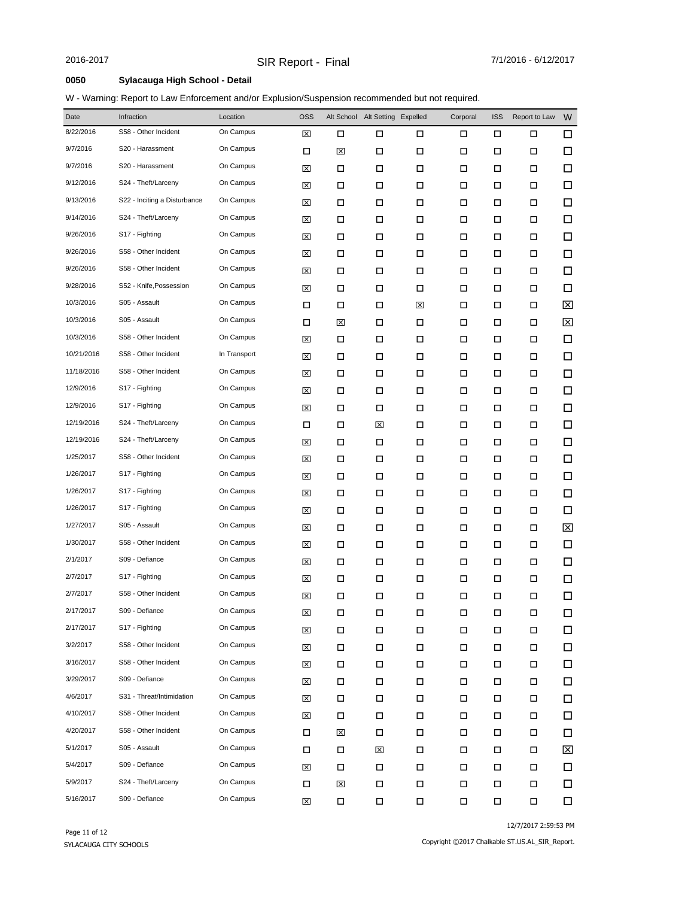### **0050 Sylacauga High School - Detail**

### W - Warning: Report to Law Enforcement and/or Explusion/Suspension recommended but not required.

| Date       | Infraction                   | Location     | <b>OSS</b> |        | Alt School Alt Setting Expelled |        | Corporal | <b>ISS</b> | Report to Law | W                       |
|------------|------------------------------|--------------|------------|--------|---------------------------------|--------|----------|------------|---------------|-------------------------|
| 8/22/2016  | S58 - Other Incident         | On Campus    | ⊠          | □      | □                               | □      | П        | □          | □             | 口                       |
| 9/7/2016   | S20 - Harassment             | On Campus    | □          | 図      | □                               | □      | □        | П          | □             | $\Box$                  |
| 9/7/2016   | S20 - Harassment             | On Campus    | ⊠          | □      | П                               | □      | □        | □          | □             | □                       |
| 9/12/2016  | S24 - Theft/Larceny          | On Campus    | ⊠          | □      | □                               | □      | □        | □          | □             | $\Box$                  |
| 9/13/2016  | S22 - Inciting a Disturbance | On Campus    | ⊠          | □      | $\Box$                          | □      | □        | П          | □             | □                       |
| 9/14/2016  | S24 - Theft/Larceny          | On Campus    | ⊠          | □      | □                               | □      | □        | □          | □             | $\Box$                  |
| 9/26/2016  | S17 - Fighting               | On Campus    | ⊠          | □      | □                               | □      | □        | □          | □             | $\Box$                  |
| 9/26/2016  | S58 - Other Incident         | On Campus    | ⊠          | □      | □                               | □      | □        | □          | □             | $\Box$                  |
| 9/26/2016  | S58 - Other Incident         | On Campus    | ⊠          | □      | □                               | □      | □        | □          | □             | □                       |
| 9/28/2016  | S52 - Knife, Possession      | On Campus    | ⊠          | □      | П                               | □      | □        | □          | □             | $\Box$                  |
| 10/3/2016  | S05 - Assault                | On Campus    | □          | □      | □                               | ⊠      | □        | □          | □             | ⊠                       |
| 10/3/2016  | S05 - Assault                | On Campus    | □          | 図      | □                               | □      | □        | □          | □             | $\mathbf{\overline{X}}$ |
| 10/3/2016  | S58 - Other Incident         | On Campus    | ⊠          | □      | □                               | □      | □        | □          | □             | □                       |
| 10/21/2016 | S58 - Other Incident         | In Transport | ⊠          | □      | □                               | □      | □        | □          | □             | $\Box$                  |
| 11/18/2016 | S58 - Other Incident         | On Campus    | ⊠          | □      | □                               | □      | □        | □          | □             | □                       |
| 12/9/2016  | S17 - Fighting               | On Campus    | ⊠          | □      | □                               | □      | □        | □          | □             | $\Box$                  |
| 12/9/2016  | S17 - Fighting               | On Campus    | ⊠          | □      | □                               | □      | □        | □          | □             | $\Box$                  |
| 12/19/2016 | S24 - Theft/Larceny          | On Campus    | □          | □      | ⊠                               | □      | □        | П          | □             | $\Box$                  |
| 12/19/2016 | S24 - Theft/Larceny          | On Campus    | ⊠          | □      | □                               | □      | □        | □          | □             | $\Box$                  |
| 1/25/2017  | S58 - Other Incident         | On Campus    | ⊠          | □      | П                               | □      | □        | П          | □             | $\Box$                  |
| 1/26/2017  | S17 - Fighting               | On Campus    | ⊠          | □      | П                               | $\Box$ | □        | □          | □             | □                       |
| 1/26/2017  | S17 - Fighting               | On Campus    | ⊠          | □      | □                               | □      | □        | П          | □             | $\Box$                  |
| 1/26/2017  | S17 - Fighting               | On Campus    | ⊠          | □      | П                               | □      | □        | □          | □             | $\Box$                  |
| 1/27/2017  | S05 - Assault                | On Campus    | ⊠          | □      | □                               | □      | □        | П          | □             | ⊠                       |
| 1/30/2017  | S58 - Other Incident         | On Campus    | ⊠          | □      | П                               | □      | □        | □          | □             | $\Box$                  |
| 2/1/2017   | S09 - Defiance               | On Campus    | ⊠          | □      | □                               | □      | □        | □          | □             | $\Box$                  |
| 2/7/2017   | S17 - Fighting               | On Campus    | ⊠          | □      | □                               | □      | □        | □          | □             | $\Box$                  |
| 2/7/2017   | S58 - Other Incident         | On Campus    | ⊠          | □      | $\Box$                          | □      | □        | □          | □             | $\Box$                  |
| 2/17/2017  | S09 - Defiance               | On Campus    | ⊠          | □      | □                               | □      | □        | □          | □             | □                       |
| 2/17/2017  | S17 - Fighting               | On Campus    | ⊠          | $\Box$ | П                               | П      | П        | $\Box$     | □             | $\Box$                  |
| 3/2/2017   | S58 - Other Incident         | On Campus    | ⊠          | □      | П                               | П      | П        | $\Box$     | П             | $\Box$                  |
| 3/16/2017  | S58 - Other Incident         | On Campus    | ⊠          | □      | П                               | П      | П        | $\Box$     | □             | $\Box$                  |
| 3/29/2017  | S09 - Defiance               | On Campus    | ⊠          | □      | П                               | П      | □        | $\Box$     | □             | $\Box$                  |
| 4/6/2017   | S31 - Threat/Intimidation    | On Campus    | ⊠          | □      | П                               | П      | □        | $\Box$     | □             | 口                       |
| 4/10/2017  | S58 - Other Incident         | On Campus    | ⊠          | □      | П                               | П      | П        | П          | □             | $\Box$                  |
| 4/20/2017  | S58 - Other Incident         | On Campus    | □          | ⊠      | □                               | □      | $\Box$   | $\Box$     | □             | 口                       |
| 5/1/2017   | S05 - Assault                | On Campus    | □          | $\Box$ | 区                               | □      | $\Box$   | П          | □             | 区                       |
| 5/4/2017   | S09 - Defiance               | On Campus    | ⊠          | □      | П                               | $\Box$ | $\Box$   | П          | □             | □                       |
| 5/9/2017   | S24 - Theft/Larceny          | On Campus    | □          | ⊠      | П                               | П      | $\Box$   | П          | П             | 口                       |
| 5/16/2017  | S09 - Defiance               | On Campus    | ⊠          | П      | П                               | Π      | П        | П          | П             | □                       |

12/7/2017 2:59:53 PM